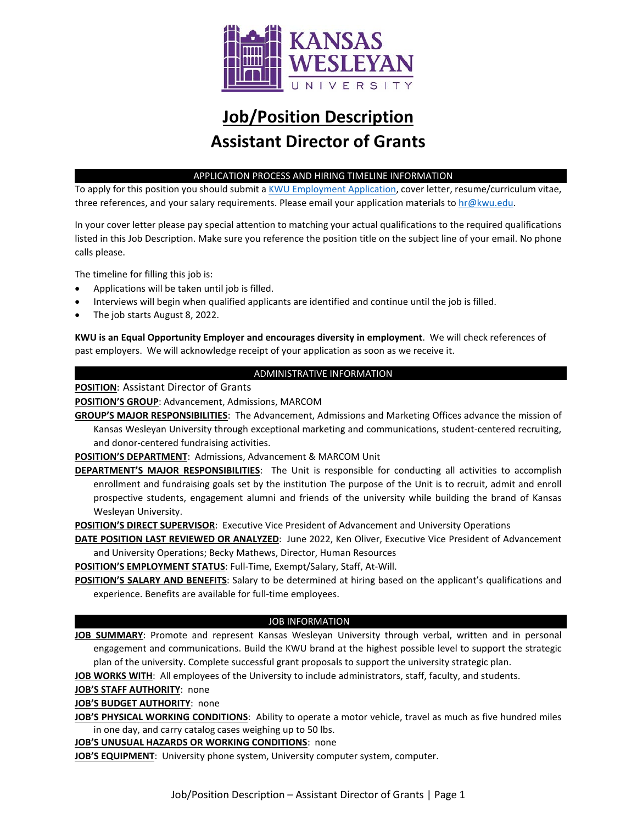

# **Job/Position Description Assistant Director of Grants**

# APPLICATION PROCESS AND HIRING TIMELINE INFORMATION

To apply for this position you should submit [a KWU Employment Application,](https://www.kwu.edu/wp-content/uploads/Employment-Application-Form-ELECTRONIC-Revised-3-.pdf) cover letter, resume/curriculum vitae, three references, and your salary requirements. Please email your application materials to [hr@kwu.edu.](mailto:hr@kwu.edu)

In your cover letter please pay special attention to matching your actual qualifications to the required qualifications listed in this Job Description. Make sure you reference the position title on the subject line of your email. No phone calls please.

The timeline for filling this job is:

- Applications will be taken until job is filled.
- Interviews will begin when qualified applicants are identified and continue until the job is filled.
- The job starts August 8, 2022.

**KWU is an Equal Opportunity Employer and encourages diversity in employment**. We will check references of past employers. We will acknowledge receipt of your application as soon as we receive it.

# ADMINISTRATIVE INFORMATION

**POSITION**: Assistant Director of Grants

**POSITION'S GROUP**: Advancement, Admissions, MARCOM

**GROUP'S MAJOR RESPONSIBILITIES**: The Advancement, Admissions and Marketing Offices advance the mission of Kansas Wesleyan University through exceptional marketing and communications, student-centered recruiting, and donor-centered fundraising activities.

**POSITION'S DEPARTMENT**: Admissions, Advancement & MARCOM Unit

**DEPARTMENT'S MAJOR RESPONSIBILITIES**: The Unit is responsible for conducting all activities to accomplish enrollment and fundraising goals set by the institution The purpose of the Unit is to recruit, admit and enroll prospective students, engagement alumni and friends of the university while building the brand of Kansas Wesleyan University.

**POSITION'S DIRECT SUPERVISOR**: Executive Vice President of Advancement and University Operations

**DATE POSITION LAST REVIEWED OR ANALYZED**: June 2022, Ken Oliver, Executive Vice President of Advancement and University Operations; Becky Mathews, Director, Human Resources

**POSITION'S EMPLOYMENT STATUS**: Full-Time, Exempt/Salary, Staff, At-Will.

**POSITION'S SALARY AND BENEFITS**: Salary to be determined at hiring based on the applicant's qualifications and experience. Benefits are available for full-time employees.

# JOB INFORMATION

**JOB SUMMARY**: Promote and represent Kansas Wesleyan University through verbal, written and in personal engagement and communications. Build the KWU brand at the highest possible level to support the strategic plan of the university. Complete successful grant proposals to support the university strategic plan.

**JOB WORKS WITH**: All employees of the University to include administrators, staff, faculty, and students.

**JOB'S STAFF AUTHORITY**: none

**JOB'S BUDGET AUTHORITY**: none

**JOB'S PHYSICAL WORKING CONDITIONS**: Ability to operate a motor vehicle, travel as much as five hundred miles in one day, and carry catalog cases weighing up to 50 lbs.

**JOB'S UNUSUAL HAZARDS OR WORKING CONDITIONS**: none

**JOB'S EQUIPMENT**: University phone system, University computer system, computer.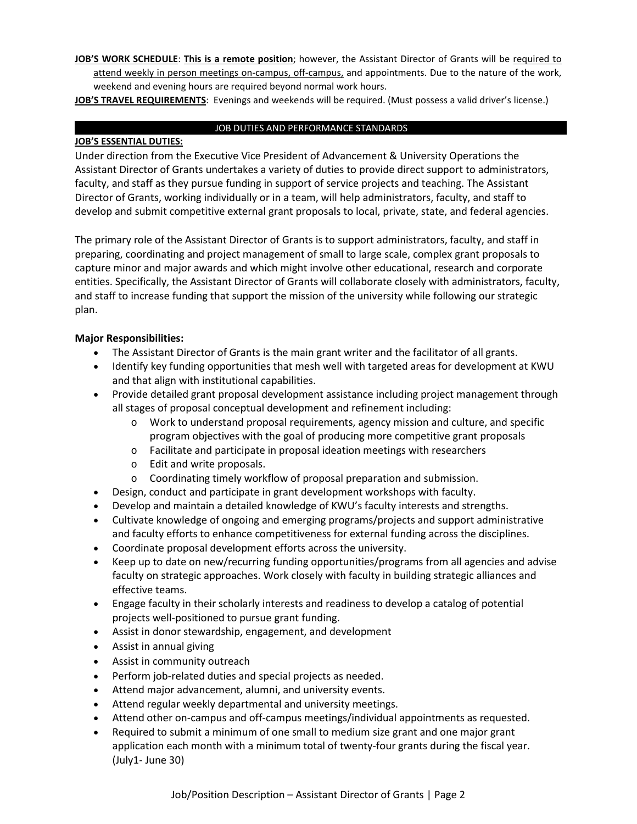**JOB'S WORK SCHEDULE**: **This is a remote position**; however, the Assistant Director of Grants will be required to attend weekly in person meetings on-campus, off-campus, and appointments. Due to the nature of the work, weekend and evening hours are required beyond normal work hours.

**JOB'S TRAVEL REQUIREMENTS**: Evenings and weekends will be required. (Must possess a valid driver's license.)

# JOB DUTIES AND PERFORMANCE STANDARDS

# **JOB'S ESSENTIAL DUTIES:**

Under direction from the Executive Vice President of Advancement & University Operations the Assistant Director of Grants undertakes a variety of duties to provide direct support to administrators, faculty, and staff as they pursue funding in support of service projects and teaching. The Assistant Director of Grants, working individually or in a team, will help administrators, faculty, and staff to develop and submit competitive external grant proposals to local, private, state, and federal agencies.

The primary role of the Assistant Director of Grants is to support administrators, faculty, and staff in preparing, coordinating and project management of small to large scale, complex grant proposals to capture minor and major awards and which might involve other educational, research and corporate entities. Specifically, the Assistant Director of Grants will collaborate closely with administrators, faculty, and staff to increase funding that support the mission of the university while following our strategic plan.

# **Major Responsibilities:**

- The Assistant Director of Grants is the main grant writer and the facilitator of all grants.
- Identify key funding opportunities that mesh well with targeted areas for development at KWU and that align with institutional capabilities.
- Provide detailed grant proposal development assistance including project management through all stages of proposal conceptual development and refinement including:
	- o Work to understand proposal requirements, agency mission and culture, and specific program objectives with the goal of producing more competitive grant proposals
	- o Facilitate and participate in proposal ideation meetings with researchers
	- o Edit and write proposals.
	- o Coordinating timely workflow of proposal preparation and submission.
- Design, conduct and participate in grant development workshops with faculty.
- Develop and maintain a detailed knowledge of KWU's faculty interests and strengths.
- Cultivate knowledge of ongoing and emerging programs/projects and support administrative and faculty efforts to enhance competitiveness for external funding across the disciplines.
- Coordinate proposal development efforts across the university.
- Keep up to date on new/recurring funding opportunities/programs from all agencies and advise faculty on strategic approaches. Work closely with faculty in building strategic alliances and effective teams.
- Engage faculty in their scholarly interests and readiness to develop a catalog of potential projects well-positioned to pursue grant funding.
- Assist in donor stewardship, engagement, and development
- Assist in annual giving
- Assist in community outreach
- Perform job-related duties and special projects as needed.
- Attend major advancement, alumni, and university events.
- Attend regular weekly departmental and university meetings.
- Attend other on-campus and off-campus meetings/individual appointments as requested.
- Required to submit a minimum of one small to medium size grant and one major grant application each month with a minimum total of twenty-four grants during the fiscal year. (July1- June 30)